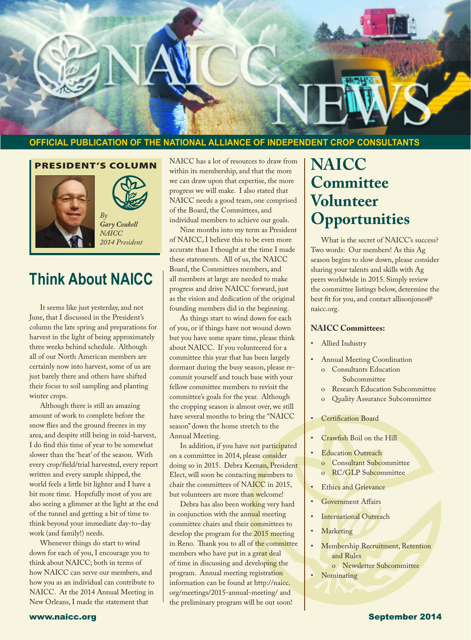

### **OFFICIAL PUBLICATION OF THE NATIONAL ALLIANCE OF INDEPENDENT CROP CONSULTANTS**

#### PRESIDENT'S COLUMN





*Gary Coukell NAICC 2014 President*

### **Think About NAICC**

It seems like just yesterday, and not June, that I discussed in the President's column the late spring and preparations for harvest in the light of being approximately three weeks behind schedule. Although all of our North American members are certainly now into harvest, some of us are just barely there and others have shifted their focus to soil sampling and planting winter crops.

Although there is still an amazing amount of work to complete before the snow flies and the ground freezes in my area, and despite still being in mid-harvest, I do find this time of year to be somewhat slower than the 'heat' of the season. With every crop/field/trial harvested, every report written and every sample shipped, the world feels a little bit lighter and I have a bit more time. Hopefully most of you are also seeing a glimmer at the light at the end of the tunnel and getting a bit of time to think beyond your immediate day-to-day work (and family!) needs.

Whenever things do start to wind down for each of you, I encourage you to think about NAICC; both in terms of how NAICC can serve our members, and how you as an individual can contribute to NAICC. At the 2014 Annual Meeting in New Orleans, I made the statement that

NAICC has a lot of resources to draw from within its membership, and that the more we can draw upon that expertise, the more progress we will make. I also stated that NAICC needs a good team, one comprised of the Board, the Committees, and individual members to achieve our goals.

Nine months into my term as President of NAICC, I believe this to be even more accurate than I thought at the time I made these statements. All of us, the NAICC Board, the Committees members, and all members at large are needed to make progress and drive NAICC forward, just as the vision and dedication of the original founding members did in the beginning.

As things start to wind down for each of you, or if things have not wound down but you have some spare time, please think about NAICC. If you volunteered for a committee this year that has been largely dormant during the busy season, please recommit yourself and touch base with your fellow committee members to revisit the committee's goals for the year. Although the cropping season is almost over, we still have several months to bring the "NAICC season" down the home stretch to the Annual Meeting.

In addition, if you have not participated on a committee in 2014, please consider doing so in 2015. Debra Keenan, President Elect, will soon be contacting members to chair the committees of NAICC in 2015, but volunteers are more than welcome!

Debra has also been working very hard in conjunction with the annual meeting committee chairs and their committees to develop the program for the 2015 meeting in Reno. Thank you to all of the committee members who have put in a great deal of time in discussing and developing the program. Annual meeting registration information can be found at http://naicc. org/meetings/2015-annual-meeting/ and the preliminary program will be out soon!

### **NAICC Committee Volunteer Opportunities**

What is the secret of NAICC's success? Two words: Our members! As this Ag season begins to slow down, please consider sharing your talents and skills with Ag peers worldwide in 2015. Simply review the committee listings below, determine the best fit for you, and contact allisonjones@ naicc.org.

#### **NAICC Committees:**

- Allied Industry
- Annual Meeting Coordination o Consultants Education Subcommittee
	- o Research Education Subcommittee
	- **Quality Assurance Subcommittee**
- Certification Board
- Crawfish Boil on the Hill
- **Education Outreach** 
	- o Consultant Subcommittee
	- o RC/GLP Subcommittee
- **Ethics and Grievance**
- Government Affairs
- **International Outreach**
- **Marketing**
- **Membership Recruitment, Retention** and Rules
- o Newsletter Subcommittee<br>• Nominating
- Nominating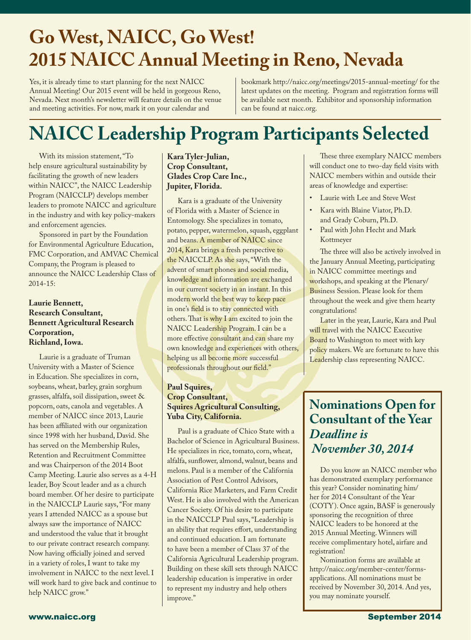### **Go West, NAICC, Go West! 2015 NAICC Annual Meeting in Reno, Nevada**

Yes, it is already time to start planning for the next NAICC Annual Meeting! Our 2015 event will be held in gorgeous Reno, Nevada. Next month's newsletter will feature details on the venue and meeting activities. For now, mark it on your calendar and

bookmark http://naicc.org/meetings/2015-annual-meeting/ for the latest updates on the meeting. Program and registration forms will be available next month. Exhibitor and sponsorship information can be found at naicc.org.

## **NAICC Leadership Program Participants Selected**

With its mission statement, "To help ensure agricultural sustainability by facilitating the growth of new leaders within NAICC", the NAICC Leadership Program (NAICCLP) develops member leaders to promote NAICC and agriculture in the industry and with key policy-makers and enforcement agencies.

Sponsored in part by the Foundation for Environmental Agriculture Education, FMC Corporation, and AMVAC Chemical Company, the Program is pleased to announce the NAICC Leadership Class of 2014-15:

#### **Laurie Bennett, Research Consultant, Bennett Agricultural Research Corporation, Richland, Iowa.**

Laurie is a graduate of Truman University with a Master of Science in Education. She specializes in corn, soybeans, wheat, barley, grain sorghum grasses, alfalfa, soil dissipation, sweet & popcorn, oats, canola and vegetables. A member of NAICC since 2013, Laurie has been affiliated with our organization since 1998 with her husband, David. She has served on the Membership Rules, Retention and Recruitment Committee and was Chairperson of the 2014 Boot Camp Meeting. Laurie also serves as a 4-H leader, Boy Scout leader and as a church board member. Of her desire to participate in the NAICCLP Laurie says, "For many years I attended NAICC as a spouse but always saw the importance of NAICC and understood the value that it brought to our private contract research company. Now having officially joined and served in a variety of roles, I want to take my involvement in NAICC to the next level. I will work hard to give back and continue to help NAICC grow."

### **Kara Tyler-Julian, Crop Consultant, Glades Crop Care Inc., Jupiter, Florida.**

Kara is a graduate of the University of Florida with a Master of Science in Entomology. She specializes in tomato, potato, pepper, watermelon, squash, eggplant and beans. A member of NAICC since 2014, Kara brings a fresh perspective to the NAICCLP. As she says, "With the advent of smart phones and social media, knowledge and information are exchanged in our current society in an instant. In this modern world the best way to keep pace in one's field is to stay connected with others. That is why I am excited to join the NAICC Leadership Program. I can be a more effective consultant and can share my own knowledge and experiences with others, helping us all become more successful professionals throughout our field."

### **Paul Squires, Crop Consultant, Squires Agricultural Consulting, Yuba City, California.**

Paul is a graduate of Chico State with a Bachelor of Science in Agricultural Business. He specializes in rice, tomato, corn, wheat, alfalfa, sunflower, almond, walnut, beans and melons. Paul is a member of the California Association of Pest Control Advisors, California Rice Marketers, and Farm Credit West. He is also involved with the American Cancer Society. Of his desire to participate in the NAICCLP Paul says, "Leadership is an ability that requires effort, understanding and continued education. I am fortunate to have been a member of Class 37 of the California Agricultural Leadership program. Building on these skill sets through NAICC leadership education is imperative in order to represent my industry and help others improve."

These three exemplary NAICC members will conduct one to two-day field visits with NAICC members within and outside their areas of knowledge and expertise:

- Laurie with Lee and Steve West
- Kara with Blaine Viator, Ph.D. and Grady Coburn, Ph.D.
- Paul with John Hecht and Mark Kottmeyer

The three will also be actively involved in the January Annual Meeting, participating in NAICC committee meetings and workshops, and speaking at the Plenary/ Business Session. Please look for them throughout the week and give them hearty congratulations!

Later in the year, Laurie, Kara and Paul will travel with the NAICC Executive Board to Washington to meet with key policy makers. We are fortunate to have this Leadership class representing NAICC.

### **Nominations Open for Consultant of the Year** *Deadline is November 30, 2014*

Do you know an NAICC member who has demonstrated exemplary performance this year? Consider nominating him/ her for 2014 Consultant of the Year (COTY). Once again, BASF is generously sponsoring the recognition of three NAICC leaders to be honored at the 2015 Annual Meeting. Winners will receive complimentary hotel, airfare and registration!

Nomination forms are available at http://naicc.org/member-center/formsapplications. All nominations must be received by November 30, 2014. And yes, you may nominate yourself.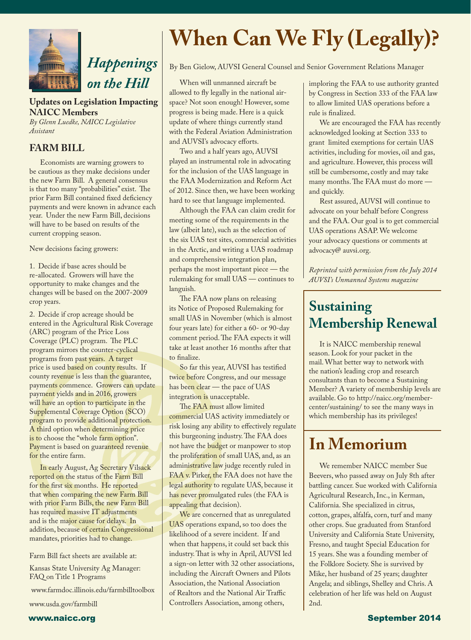

### **Updates on Legislation Impacting NAICC Members**

*By Glenn Luedke, NAICC Legislative Assistant*

### **FARM BILL**

l

Economists are warning growers to be cautious as they make decisions under the new Farm Bill. A general consensus is that too many "probabilities" exist. The prior Farm Bill contained fixed deficiency payments and were known in advance each year. Under the new Farm Bill, decisions will have to be based on results of the current cropping season.

New decisions facing growers:

1. Decide if base acres should be re-allocated. Growers will have the opportunity to make changes and the changes will be based on the 2007-2009 crop years.

2. Decide if crop acreage should be entered in the Agricultural Risk Coverage (ARC) program of the Price Loss Coverage (PLC) program. The PLC program mirrors the counter-cyclical programs from past years. A target price is used based on county results. If county revenue is less than the guarantee, payments commence. Growers can update payment yields and in 2016, growers will have an option to participate in the Supplemental Coverage Option (SCO) program to provide additional protection. A third option when determining price is to choose the "whole farm option". Payment is based on guaranteed revenue for the entire farm.

In early August, Ag Secretary Vilsack reported on the status of the Farm Bill for the first six months. He reported that when comparing the new Farm Bill with prior Farm Bills, the new Farm Bill has required massive IT adjustments and is the major cause for delays. In addition, because of certain Congressional mandates, priorities had to change.

Farm Bill fact sheets are available at:

Kansas State University Ag Manager: FAQ on Title 1 Programs

www.farmdoc.illinois.edu/farmbilltoolbox

www.usda.gov/farmbill

# **When Can We Fly (Legally)?**

By Ben Gielow, AUVSI General Counsel and Senior Government Relations Manager

When will unmanned aircraft be allowed to fly legally in the national airspace? Not soon enough! However, some progress is being made. Here is a quick update of where things currently stand with the Federal Aviation Administration and AUVSI's advocacy efforts.

Two and a half years ago, AUVSI played an instrumental role in advocating for the inclusion of the UAS language in the FAA Modernization and Reform Act of 2012. Since then, we have been working hard to see that language implemented.

Although the FAA can claim credit for meeting some of the requirements in the law (albeit late), such as the selection of the six UAS test sites, commercial activities in the Arctic, and writing a UAS roadmap and comprehensive integration plan, perhaps the most important piece — the rulemaking for small UAS — continues to languish.

The FAA now plans on releasing its Notice of Proposed Rulemaking for small UAS in November (which is almost four years late) for either a 60- or 90-day comment period. The FAA expects it will take at least another 16 months after that to finalize.

So far this year, AUVSI has testified twice before Congress, and our message has been clear — the pace of UAS integration is unacceptable.

The FAA must allow limited commercial UAS activity immediately or risk losing any ability to effectively regulate this burgeoning industry. The FAA does not have the budget or manpower to stop the proliferation of small UAS, and, as an administrative law judge recently ruled in FAA v. Pirker, the FAA does not have the legal authority to regulate UAS, because it has never promulgated rules (the FAA is appealing that decision).

We are concerned that as unregulated UAS operations expand, so too does the likelihood of a severe incident. If and when that happens, it could set back this industry. That is why in April, AUVSI led a sign-on letter with 32 other associations, including the Aircraft Owners and Pilots Association, the National Association of Realtors and the National Air Traffic Controllers Association, among others,

imploring the FAA to use authority granted by Congress in Section 333 of the FAA law to allow limited UAS operations before a rule is finalized.

We are encouraged the FAA has recently acknowledged looking at Section 333 to grant limited exemptions for certain UAS activities, including for movies, oil and gas, and agriculture. However, this process will still be cumbersome, costly and may take many months. The FAA must do more and quickly.

Rest assured, AUVSI will continue to advocate on your behalf before Congress and the FAA. Our goal is to get commercial UAS operations ASAP. We welcome your advocacy questions or comments at advocacy@ auvsi.org.

*Reprinted with permission from the July 2014 AUVSI's Unmanned Systems magazine*

### **Sustaining Membership Renewal**

It is NAICC membership renewal season. Look for your packet in the mail. What better way to network with the nation's leading crop and research consultants than to become a Sustaining Member? A variety of membership levels are available. Go to http://naicc.org/membercenter/sustaining/ to see the many ways in which membership has its privileges!

### **In Memorium**

We remember NAICC member Sue Beevers, who passed away on July 8th after battling cancer. Sue worked with California Agricultural Research, Inc., in Kerman, California. She specialized in citrus, cotton, grapes, alfalfa, corn, turf and many other crops. Sue graduated from Stanford University and California State University, Fresno, and taught Special Education for 15 years. She was a founding member of the Folklore Society. She is survived by Mike, her husband of 25 years; daughter Angela; and siblings, Shelley and Chris. A celebration of her life was held on August 2nd.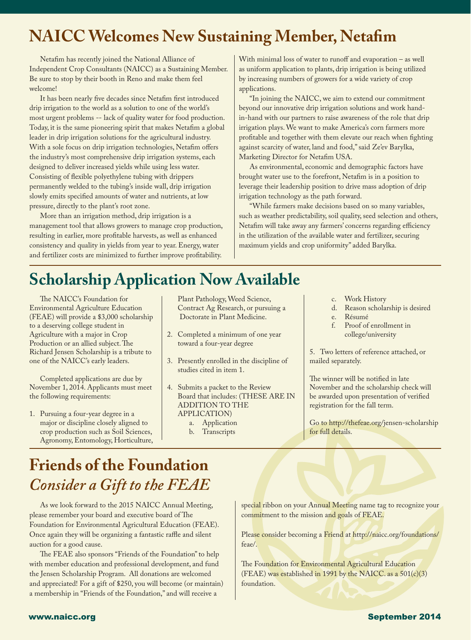### **NAICC Welcomes New Sustaining Member, Netafim**

Netafim has recently joined the National Alliance of Independent Crop Consultants (NAICC) as a Sustaining Member. Be sure to stop by their booth in Reno and make them feel welcome!

It has been nearly five decades since Netafim first introduced drip irrigation to the world as a solution to one of the world's most urgent problems -- lack of quality water for food production. Today, it is the same pioneering spirit that makes Netafim a global leader in drip irrigation solutions for the agricultural industry. With a sole focus on drip irrigation technologies, Netafim offers the industry's most comprehensive drip irrigation systems, each designed to deliver increased yields while using less water. Consisting of flexible polyethylene tubing with drippers permanently welded to the tubing's inside wall, drip irrigation slowly emits specified amounts of water and nutrients, at low pressure, directly to the plant's root zone.

More than an irrigation method, drip irrigation is a management tool that allows growers to manage crop production, resulting in earlier, more profitable harvests, as well as enhanced consistency and quality in yields from year to year. Energy, water and fertilizer costs are minimized to further improve profitability.

With minimal loss of water to runoff and evaporation – as well as uniform application to plants, drip irrigation is being utilized by increasing numbers of growers for a wide variety of crop applications.

"In joining the NAICC, we aim to extend our commitment beyond our innovative drip irrigation solutions and work handin-hand with our partners to raise awareness of the role that drip irrigation plays. We want to make America's corn farmers more profitable and together with them elevate our reach when fighting against scarcity of water, land and food," said Ze'ev Barylka, Marketing Director for Netafim USA.

As environmental, economic and demographic factors have brought water use to the forefront, Netafim is in a position to leverage their leadership position to drive mass adoption of drip irrigation technology as the path forward.

"While farmers make decisions based on so many variables, such as weather predictability, soil quality, seed selection and others, Netafim will take away any farmers' concerns regarding efficiency in the utilization of the available water and fertilizer, securing maximum yields and crop uniformity" added Barylka.

### **Scholarship Application Now Available**

The NAICC's Foundation for Environmental Agriculture Education (FEAE) will provide a \$3,000 scholarship to a deserving college student in Agriculture with a major in Crop Production or an allied subject. The Richard Jensen Scholarship is a tribute to one of the NAICC's early leaders.

Completed applications are due by November 1, 2014. Applicants must meet the following requirements:

1. Pursuing a four-year degree in a major or discipline closely aligned to crop production such as Soil Sciences, Agronomy, Entomology, Horticulture, Plant Pathology, Weed Science, Contract Ag Research, or pursuing a Doctorate in Plant Medicine.

- 2. Completed a minimum of one year toward a four-year degree
- 3. Presently enrolled in the discipline of studies cited in item 1.
- 4. Submits a packet to the Review Board that includes: (THESE ARE IN ADDITION TO THE APPLICATION)
	- a. Application
		- b. Transcripts
- c. Work History
- d. Reason scholarship is desired
- e. Résumé
- f. Proof of enrollment in college/university

5. Two letters of reference attached, or mailed separately.

The winner will be notified in late November and the scholarship check will be awarded upon presentation of verified registration for the fall term.

Go to http://thefeae.org/jensen-scholarship for full details.

### **Friends of the Foundation** *Consider a Gift to the FEAE*

As we look forward to the 2015 NAICC Annual Meeting, please remember your board and executive board of The Foundation for Environmental Agricultural Education (FEAE). Once again they will be organizing a fantastic raffle and silent auction for a good cause.

The FEAE also sponsors "Friends of the Foundation" to help with member education and professional development, and fund the Jensen Scholarship Program. All donations are welcomed and appreciated! For a gift of \$250, you will become (or maintain) a membership in "Friends of the Foundation," and will receive a

special ribbon on your Annual Meeting name tag to recognize your commitment to the mission and goals of FEAE.

Please consider becoming a Friend at http://naicc.org/foundations/ feae/.

The Foundation for Environmental Agricultural Education (FEAE) was established in 1991 by the NAICC. as a  $501(c)(3)$ foundation.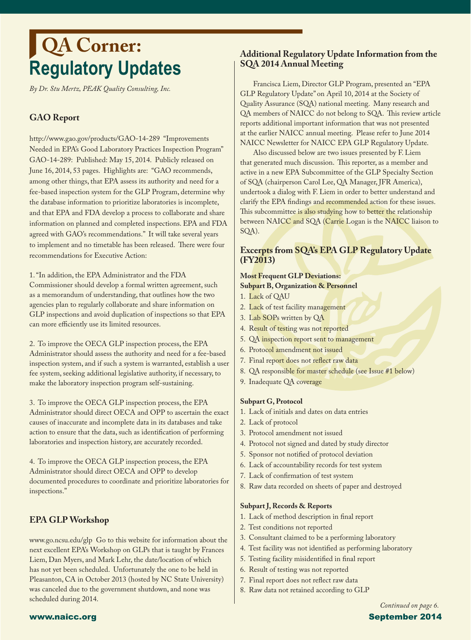### **Regulatory Updates QA Corner:**

*By Dr. Stu Mertz, PEAK Quality Consulting, Inc.*

### **GAO Report**

http://www.gao.gov/products/GAO-14-289 "Improvements Needed in EPA's Good Laboratory Practices Inspection Program" GAO-14-289: Published: May 15, 2014. Publicly released on June 16, 2014, 53 pages. Highlights are: "GAO recommends, among other things, that EPA assess its authority and need for a fee-based inspection system for the GLP Program, determine why the database information to prioritize laboratories is incomplete, and that EPA and FDA develop a process to collaborate and share information on planned and completed inspections. EPA and FDA agreed with GAO's recommendations." It will take several years to implement and no timetable has been released. There were four recommendations for Executive Action:

1. "In addition, the EPA Administrator and the FDA Commissioner should develop a formal written agreement, such as a memorandum of understanding, that outlines how the two agencies plan to regularly collaborate and share information on GLP inspections and avoid duplication of inspections so that EPA can more efficiently use its limited resources.

2. To improve the OECA GLP inspection process, the EPA Administrator should assess the authority and need for a fee-based inspection system, and if such a system is warranted, establish a user fee system, seeking additional legislative authority, if necessary, to make the laboratory inspection program self-sustaining.

3. To improve the OECA GLP inspection process, the EPA Administrator should direct OECA and OPP to ascertain the exact causes of inaccurate and incomplete data in its databases and take action to ensure that the data, such as identification of performing laboratories and inspection history, are accurately recorded.

4. To improve the OECA GLP inspection process, the EPA Administrator should direct OECA and OPP to develop documented procedures to coordinate and prioritize laboratories for inspections."

### **EPA GLP Workshop**

www.go.ncsu.edu/glp Go to this website for information about the next excellent EPA's Workshop on GLPs that is taught by Frances Liem, Dan Myers, and Mark Lehr, the date/location of which has not yet been scheduled. Unfortunately the one to be held in Pleasanton, CA in October 2013 (hosted by NC State University) was canceled due to the government shutdown, and none was scheduled during 2014.

### **Additional Regulatory Update Information from the SQA 2014 Annual Meeting**

Francisca Liem, Director GLP Program, presented an "EPA GLP Regulatory Update" on April 10, 2014 at the Society of Quality Assurance (SQA) national meeting. Many research and QA members of NAICC do not belong to SQA. This review article reports additional important information that was not presented at the earlier NAICC annual meeting. Please refer to June 2014 NAICC Newsletter for NAICC EPA GLP Regulatory Update.

Also discussed below are two issues presented by F. Liem that generated much discussion. This reporter, as a member and active in a new EPA Subcommittee of the GLP Specialty Section of SQA (chairperson Carol Lee, QA Manager, JFR America), undertook a dialog with F. Liem in order to better understand and clarify the EPA findings and recommended action for these issues. This subcommittee is also studying how to better the relationship between NAICC and SQA (Carrie Logan is the NAICC liaison to SQA).

### **Excerpts from SQA's EPA GLP Regulatory Update (FY2013)**

#### **Most Frequent GLP Deviations: Subpart B, Organization & Personnel**

- 1. Lack of QAU
- 2. Lack of test facility management
- 3. Lab SOPs written by QA
- 4. Result of testing was not reported
- 5. QA inspection report sent to management
- 6. Protocol amendment not issued
- 7. Final report does not reflect raw data
- 8. QA responsible for master schedule (see Issue #1 below)
- 9. Inadequate QA coverage

#### **Subpart G, Protocol**

- 1. Lack of initials and dates on data entries
- 2. Lack of protocol
- 3. Protocol amendment not issued
- 4. Protocol not signed and dated by study director
- 5. Sponsor not notified of protocol deviation
- 6. Lack of accountability records for test system
- 7. Lack of confirmation of test system
- 8. Raw data recorded on sheets of paper and destroyed

#### **Subpart J, Records & Reports**

- 1. Lack of method description in final report
- 2. Test conditions not reported
- 3. Consultant claimed to be a performing laboratory
- 4. Test facility was not identified as performing laboratory
- 5. Testing facility misidentified in final report
- 6. Result of testing was not reported
- 7. Final report does not reflect raw data
- 8. Raw data not retained according to GLP